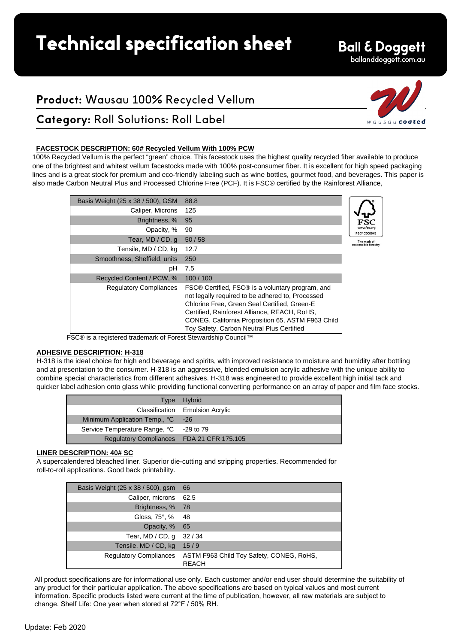# **Technical specification sheet**

## **Ball & Doggett**

### ballanddoggett.com.au

wausaucoated

## **Product:** Wausau 100% Recycled Vellum

## **Category:** Roll Solutions: Roll Label

#### **FACESTOCK DESCRIPTION: 60# Recycled Vellum With 100% PCW**

100% Recycled Vellum is the perfect "green" choice. This facestock uses the highest quality recycled fiber available to produce one of the brightest and whitest vellum facestocks made with 100% post-consumer fiber. It is excellent for high speed packaging lines and is a great stock for premium and eco-friendly labeling such as wine bottles, gourmet food, and beverages. This paper is also made Carbon Neutral Plus and Processed Chlorine Free (PCF). It is FSC® certified by the Rainforest Alliance,

| Basis Weight (25 x 38 / 500), GSM | 88.8                                                                                                                                                                                                                                                                                                   |
|-----------------------------------|--------------------------------------------------------------------------------------------------------------------------------------------------------------------------------------------------------------------------------------------------------------------------------------------------------|
| Caliper, Microns                  | 125                                                                                                                                                                                                                                                                                                    |
| Brightness, %                     | 95                                                                                                                                                                                                                                                                                                     |
| Opacity, %                        | 90                                                                                                                                                                                                                                                                                                     |
| Tear, MD / CD, q                  | 50/58                                                                                                                                                                                                                                                                                                  |
| Tensile, MD / CD, kg              | 12.7                                                                                                                                                                                                                                                                                                   |
| Smoothness, Sheffield, units      | 250                                                                                                                                                                                                                                                                                                    |
| pH                                | 7.5                                                                                                                                                                                                                                                                                                    |
| Recycled Content / PCW, %         | 100/100                                                                                                                                                                                                                                                                                                |
| <b>Regulatory Compliances</b>     | FSC® Certified, FSC® is a voluntary program, and<br>not legally required to be adhered to, Processed<br>Chlorine Free, Green Seal Certified, Green-E<br>Certified, Rainforest Alliance, REACH, RoHS,<br>CONEG, California Proposition 65, ASTM F963 Child<br>Toy Safety, Carbon Neutral Plus Certified |



FSC® is a registered trademark of Forest Stewardship Council™

#### **ADHESIVE DESCRIPTION: H-318**

H-318 is the ideal choice for high end beverage and spirits, with improved resistance to moisture and humidity after bottling and at presentation to the consumer. H-318 is an aggressive, blended emulsion acrylic adhesive with the unique ability to combine special characteristics from different adhesives. H-318 was engineered to provide excellent high initial tack and quicker label adhesion onto glass while providing functional converting performance on an array of paper and film face stocks.

|                                           | Type Hybrid                     |
|-------------------------------------------|---------------------------------|
|                                           | Classification Emulsion Acrylic |
| Minimum Application Temp., °C -26         |                                 |
| Service Temperature Range, °C -29 to 79   |                                 |
| Regulatory Compliances FDA 21 CFR 175.105 |                                 |

#### **LINER DESCRIPTION: 40# SC**

A supercalendered bleached liner. Superior die-cutting and stripping properties. Recommended for roll-to-roll applications. Good back printability.

| Basis Weight (25 x 38 / 500), gsm | -66                                                      |
|-----------------------------------|----------------------------------------------------------|
| Caliper, microns 62.5             |                                                          |
| Brightness, % 78                  |                                                          |
| Gloss, $75^\circ$ , %             | - 48                                                     |
| Opacity, %                        | - 65                                                     |
| Tear, MD / CD, q                  | 32/34                                                    |
| Tensile, MD / CD, kg              | 15/9                                                     |
| <b>Regulatory Compliances</b>     | ASTM F963 Child Toy Safety, CONEG, RoHS,<br><b>REACH</b> |

All product specifications are for informational use only. Each customer and/or end user should determine the suitability of any product for their particular application. The above specifications are based on typical values and most current information. Specific products listed were current at the time of publication, however, all raw materials are subject to change. Shelf Life: One year when stored at 72°F / 50% RH.